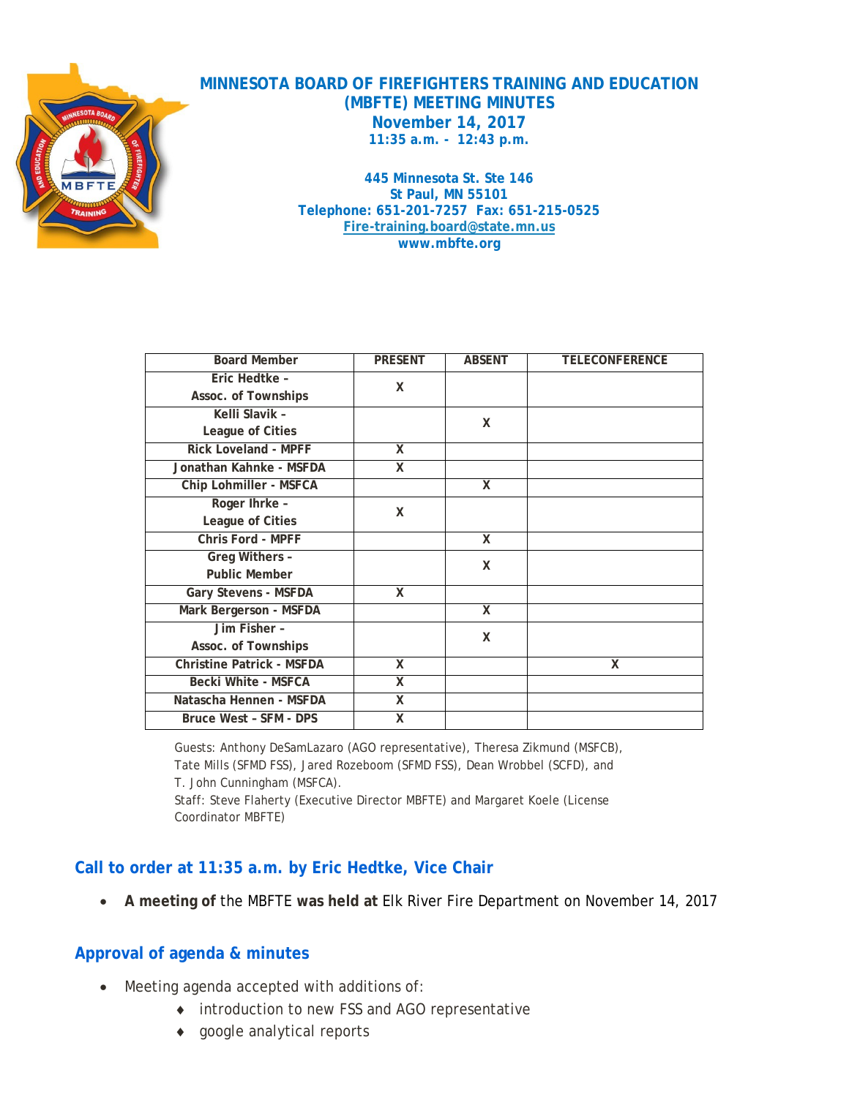

**MINNESOTA BOARD OF FIREFIGHTERS TRAINING AND EDUCATION (MBFTE) MEETING MINUTES November 14, 2017 11:35 a.m. - 12:43 p.m.**

> **445 Minnesota St. Ste 146 St Paul, MN 55101 Telephone: 651-201-7257 Fax: 651-215-0525 [Fire-training.board@state.mn.us](mailto:Fire-training.board@state.mn.us) www.mbfte.org**

| <b>Board Member</b>              | <b>PRESENT</b>          | <b>ABSENT</b> | <b>TELECONFERENCE</b> |
|----------------------------------|-------------------------|---------------|-----------------------|
| Eric Hedtke -                    | x                       |               |                       |
| Assoc. of Townships              |                         |               |                       |
| Kelli Slavik -                   |                         | X             |                       |
| League of Cities                 |                         |               |                       |
| <b>Rick Loveland - MPFF</b>      | X                       |               |                       |
| Jonathan Kahnke - MSFDA          | x                       |               |                       |
| Chip Lohmiller - MSFCA           |                         | X             |                       |
| Roger Ihrke -                    | X                       |               |                       |
| League of Cities                 |                         |               |                       |
| Chris Ford - MPFF                |                         | X             |                       |
| Greg Withers -                   |                         | X             |                       |
| <b>Public Member</b>             |                         |               |                       |
| <b>Gary Stevens - MSFDA</b>      | X                       |               |                       |
| Mark Bergerson - MSFDA           |                         | X             |                       |
| Jim Fisher -                     |                         | X             |                       |
| Assoc. of Townships              |                         |               |                       |
| <b>Christine Patrick - MSFDA</b> | X                       |               | X                     |
| <b>Becki White - MSFCA</b>       | x                       |               |                       |
| Natascha Hennen - MSFDA          | $\overline{\mathsf{x}}$ |               |                       |
| Bruce West - SFM - DPS           | $\overline{\mathsf{x}}$ |               |                       |

Guests: Anthony DeSamLazaro (AGO representative), Theresa Zikmund (MSFCB), Tate Mills (SFMD FSS), Jared Rozeboom (SFMD FSS), Dean Wrobbel (SCFD), and T. John Cunningham (MSFCA). Staff: Steve Flaherty (Executive Director MBFTE) and Margaret Koele (License

#### Coordinator MBFTE)

#### **Call to order at 11:35 a.m. by Eric Hedtke, Vice Chair**

• **A meeting of** the MBFTE **was held at** Elk River Fire Department on November 14, 2017

#### **Approval of agenda & minutes**

- Meeting agenda accepted with additions of:
	- ♦ introduction to new FSS and AGO representative
	- ♦ google analytical reports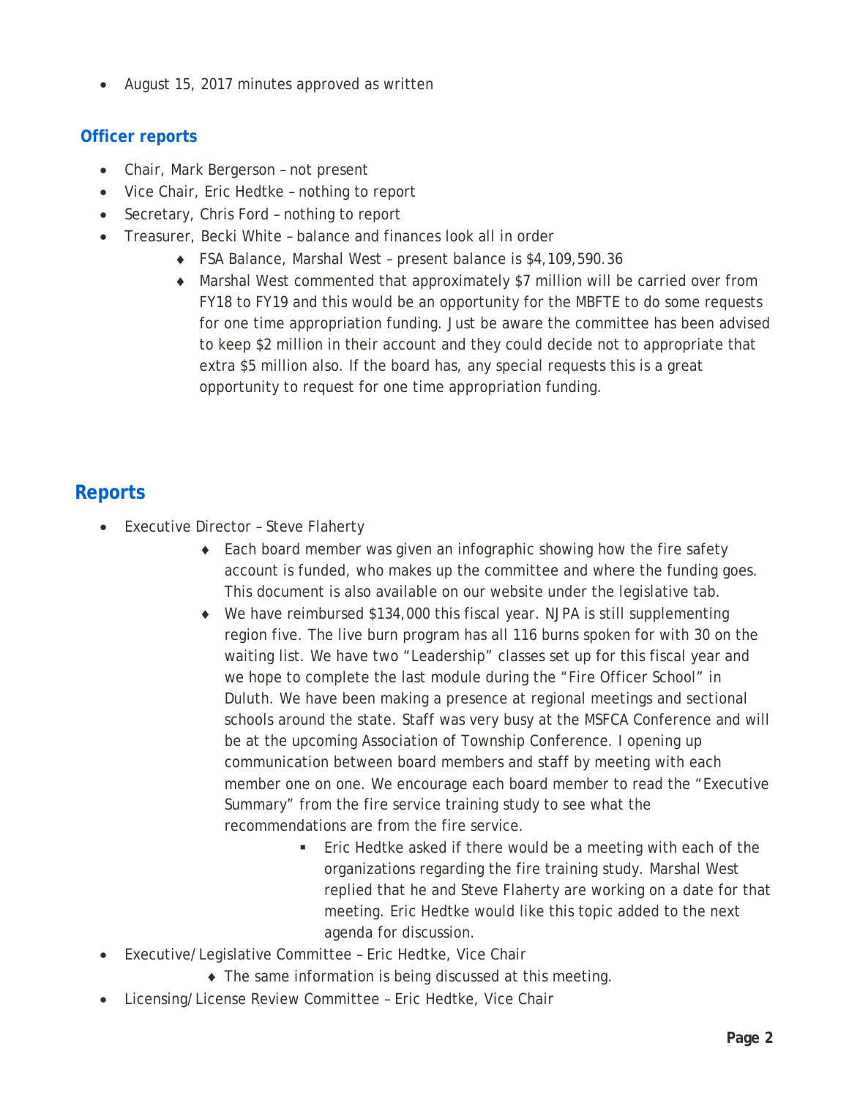• August 15, 2017 minutes approved as written

### **Officer reports**

- Chair, Mark Bergerson not present
- Vice Chair, Eric Hedtke nothing to report
- Secretary, Chris Ford nothing to report
- Treasurer, Becki White balance and finances look all in order
	- ♦ FSA Balance, Marshal West present balance is \$4,109,590.36
	- ♦ Marshal West commented that approximately \$7 million will be carried over from FY18 to FY19 and this would be an opportunity for the MBFTE to do some requests for one time appropriation funding. Just be aware the committee has been advised to keep \$2 million in their account and they could decide not to appropriate that extra \$5 million also. If the board has, any special requests this is a great opportunity to request for one time appropriation funding.

# **Reports**

- Executive Director Steve Flaherty
	- Each board member was given an infographic showing how the fire safety account is funded, who makes up the committee and where the funding goes. This document is also available on our website under the legislative tab.
	- ♦ We have reimbursed \$134,000 this fiscal year. NJPA is still supplementing region five. The live burn program has all 116 burns spoken for with 30 on the waiting list. We have two "Leadership" classes set up for this fiscal year and we hope to complete the last module during the "Fire Officer School" in Duluth. We have been making a presence at regional meetings and sectional schools around the state. Staff was very busy at the MSFCA Conference and will be at the upcoming Association of Township Conference. I opening up communication between board members and staff by meeting with each member one on one. We encourage each board member to read the "Executive Summary" from the fire service training study to see what the recommendations are from the fire service.
		- Eric Hedtke asked if there would be a meeting with each of the organizations regarding the fire training study. Marshal West replied that he and Steve Flaherty are working on a date for that meeting. Eric Hedtke would like this topic added to the next agenda for discussion.
- Executive/Legislative Committee Eric Hedtke, Vice Chair
	- ♦ The same information is being discussed at this meeting.
- Licensing/License Review Committee Eric Hedtke, Vice Chair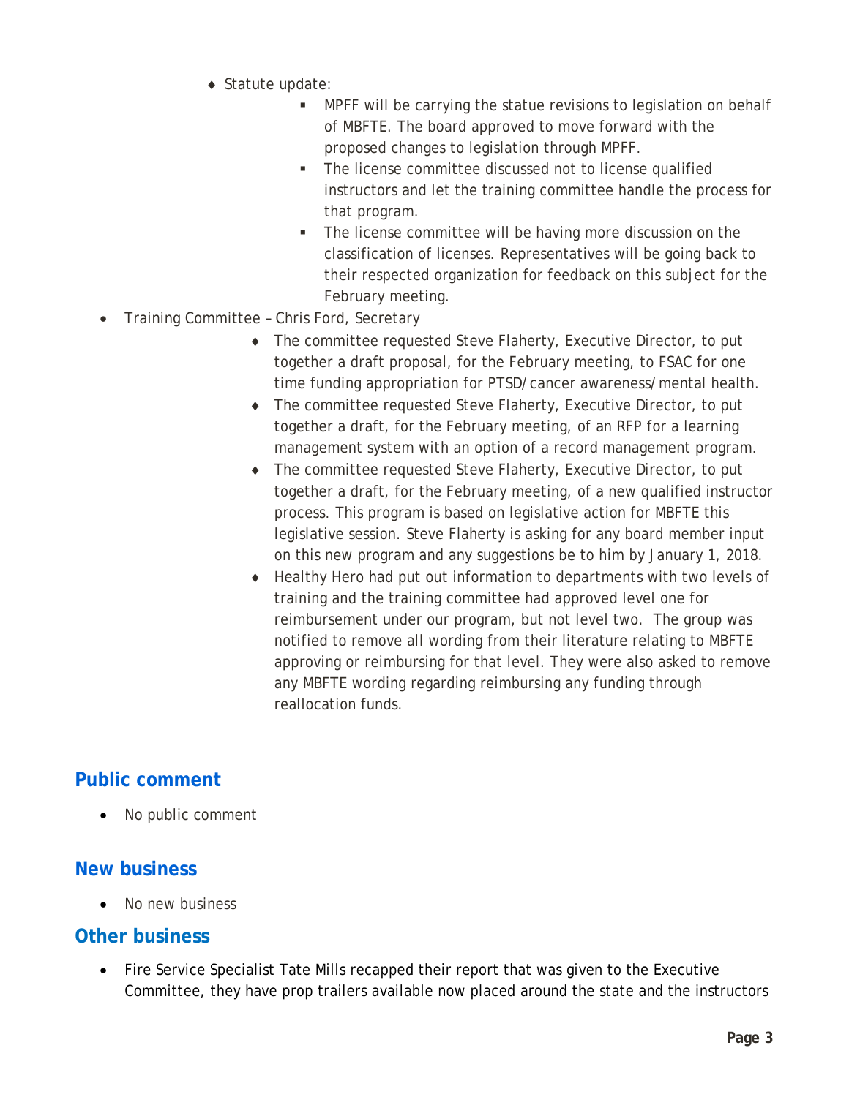- ♦ Statute update:
	- MPFF will be carrying the statue revisions to legislation on behalf of MBFTE. The board approved to move forward with the proposed changes to legislation through MPFF.
	- **The license committee discussed not to license qualified** instructors and let the training committee handle the process for that program.
	- **The license committee will be having more discussion on the** classification of licenses. Representatives will be going back to their respected organization for feedback on this subject for the February meeting.
- Training Committee Chris Ford, Secretary
	- ♦ The committee requested Steve Flaherty, Executive Director, to put together a draft proposal, for the February meeting, to FSAC for one time funding appropriation for PTSD/cancer awareness/mental health.
	- ♦ The committee requested Steve Flaherty, Executive Director, to put together a draft, for the February meeting, of an RFP for a learning management system with an option of a record management program.
	- ♦ The committee requested Steve Flaherty, Executive Director, to put together a draft, for the February meeting, of a new qualified instructor process. This program is based on legislative action for MBFTE this legislative session. Steve Flaherty is asking for any board member input on this new program and any suggestions be to him by January 1, 2018.
	- ♦ Healthy Hero had put out information to departments with two levels of training and the training committee had approved level one for reimbursement under our program, but not level two. The group was notified to remove all wording from their literature relating to MBFTE approving or reimbursing for that level. They were also asked to remove any MBFTE wording regarding reimbursing any funding through reallocation funds.

# **Public comment**

No public comment

## **New business**

• No new business

## **Other business**

• Fire Service Specialist Tate Mills recapped their report that was given to the Executive Committee, they have prop trailers available now placed around the state and the instructors